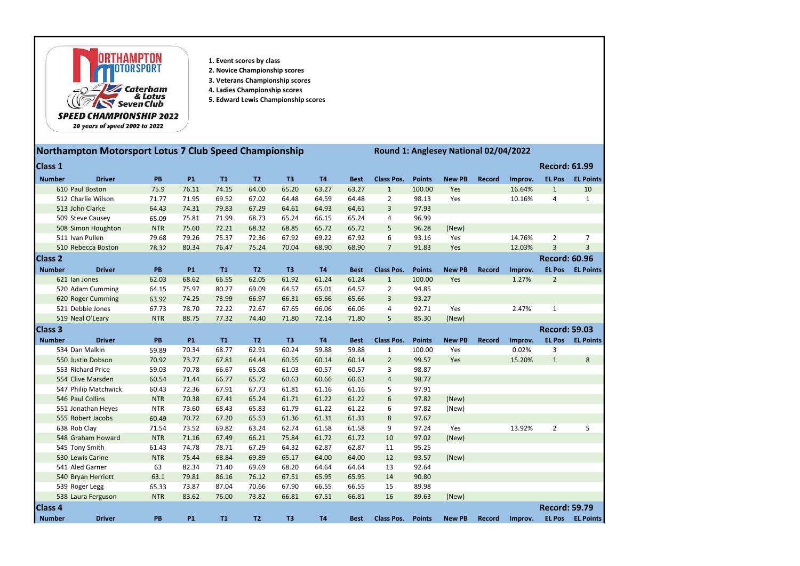

- 1. Event scores by class
- 2. Novice Championship scores
- 3. Veterans Championship scores
- 4. Ladies Championship scores
- 5. Edward Lewis Championship scores

## 20 years of speed 2002 to 2022

Northampton Motorsport Lotus 7 Club Speed Championship Round 1: Anglesey National 02/04/2022

| Class 1        |                      |            |           |       |                |       |           |             |                          |               |               |               |         | <b>Record: 61.99</b> |                  |
|----------------|----------------------|------------|-----------|-------|----------------|-------|-----------|-------------|--------------------------|---------------|---------------|---------------|---------|----------------------|------------------|
| <b>Number</b>  | <b>Driver</b>        | PB         | <b>P1</b> | T1    | T <sub>2</sub> | T3    | <b>T4</b> | <b>Best</b> | <b>Class Pos.</b>        | <b>Points</b> | <b>New PB</b> | Record        | Improv. | <b>EL Pos</b>        | <b>EL Points</b> |
|                | 610 Paul Boston      | 75.9       | 76.11     | 74.15 | 64.00          | 65.20 | 63.27     | 63.27       | $\mathbf{1}$             | 100.00        | Yes           |               | 16.64%  | $\mathbf{1}$         | 10               |
|                | 512 Charlie Wilson   | 71.77      | 71.95     | 69.52 | 67.02          | 64.48 | 64.59     | 64.48       | $\overline{2}$           | 98.13         | Yes           |               | 10.16%  | $\overline{4}$       | $\mathbf{1}$     |
|                | 513 John Clarke      | 64.43      | 74.31     | 79.83 | 67.29          | 64.61 | 64.93     | 64.61       | 3                        | 97.93         |               |               |         |                      |                  |
|                | 509 Steve Causey     | 65.09      | 75.81     | 71.99 | 68.73          | 65.24 | 66.15     | 65.24       | 4                        | 96.99         |               |               |         |                      |                  |
|                | 508 Simon Houghton   | <b>NTR</b> | 75.60     | 72.21 | 68.32          | 68.85 | 65.72     | 65.72       | 5                        | 96.28         | (New)         |               |         |                      |                  |
|                | 511 Ivan Pullen      | 79.68      | 79.26     | 75.37 | 72.36          | 67.92 | 69.22     | 67.92       | 6                        | 93.16         | Yes           |               | 14.76%  | $\overline{2}$       | $\overline{7}$   |
|                | 510 Rebecca Boston   | 78.32      | 80.34     | 76.47 | 75.24          | 70.04 | 68.90     | 68.90       | $\overline{7}$           | 91.83         | Yes           |               | 12.03%  | 3                    | $\overline{3}$   |
| <b>Class 2</b> |                      |            |           |       |                |       |           |             |                          |               |               |               |         | <b>Record: 60.96</b> |                  |
| <b>Number</b>  | <b>Driver</b>        | PB         | <b>P1</b> | T1    | T <sub>2</sub> | T3    | <b>T4</b> | <b>Best</b> | <b>Class Pos.</b>        | <b>Points</b> | <b>New PB</b> | <b>Record</b> | Improv. | <b>EL Pos</b>        | <b>EL Points</b> |
|                | 621 Ian Jones        | 62.03      | 68.62     | 66.55 | 62.05          | 61.92 | 61.24     | 61.24       | $\mathbf{1}$             | 100.00        | Yes           |               | 1.27%   | $\overline{2}$       |                  |
|                | 520 Adam Cumming     | 64.15      | 75.97     | 80.27 | 69.09          | 64.57 | 65.01     | 64.57       | $\overline{2}$           | 94.85         |               |               |         |                      |                  |
|                | 620 Roger Cumming    | 63.92      | 74.25     | 73.99 | 66.97          | 66.31 | 65.66     | 65.66       | $\overline{3}$           | 93.27         |               |               |         |                      |                  |
|                | 521 Debbie Jones     | 67.73      | 78.70     | 72.22 | 72.67          | 67.65 | 66.06     | 66.06       | 4                        | 92.71         | Yes           |               | 2.47%   | $\mathbf{1}$         |                  |
|                | 519 Neal O'Leary     | <b>NTR</b> | 88.75     | 77.32 | 74.40          | 71.80 | 72.14     | 71.80       | 5                        | 85.30         | (New)         |               |         |                      |                  |
| <b>Class 3</b> |                      |            |           |       |                |       |           |             |                          |               |               |               |         | <b>Record: 59.03</b> |                  |
| <b>Number</b>  | <b>Driver</b>        | PB         | <b>P1</b> | T1    | T <sub>2</sub> | T3    | T4        | <b>Best</b> | <b>Class Pos.</b>        | <b>Points</b> | <b>New PB</b> | <b>Record</b> | Improv. | <b>EL Pos</b>        | <b>EL Points</b> |
|                | 534 Dan Malkin       | 59.89      | 70.34     | 68.77 | 62.91          | 60.24 | 59.88     | 59.88       | $\mathbf{1}$             | 100.00        | Yes           |               | 0.02%   | 3                    |                  |
|                | 550 Justin Dobson    | 70.92      | 73.77     | 67.81 | 64.44          | 60.55 | 60.14     | 60.14       | $\overline{2}$           | 99.57         | Yes           |               | 15.20%  | $\mathbf{1}$         | 8                |
|                | 553 Richard Price    | 59.03      | 70.78     | 66.67 | 65.08          | 61.03 | 60.57     | 60.57       | 3                        | 98.87         |               |               |         |                      |                  |
|                | 554 Clive Marsden    | 60.54      | 71.44     | 66.77 | 65.72          | 60.63 | 60.66     | 60.63       | $\overline{4}$           | 98.77         |               |               |         |                      |                  |
|                | 547 Philip Matchwick | 60.43      | 72.36     | 67.91 | 67.73          | 61.81 | 61.16     | 61.16       | 5                        | 97.91         |               |               |         |                      |                  |
|                | 546 Paul Collins     | <b>NTR</b> | 70.38     | 67.41 | 65.24          | 61.71 | 61.22     | 61.22       | 6                        | 97.82         | (New)         |               |         |                      |                  |
|                | 551 Jonathan Heyes   | <b>NTR</b> | 73.60     | 68.43 | 65.83          | 61.79 | 61.22     | 61.22       | 6                        | 97.82         | (New)         |               |         |                      |                  |
|                | 555 Robert Jacobs    | 60.49      | 70.72     | 67.20 | 65.53          | 61.36 | 61.31     | 61.31       | 8                        | 97.67         |               |               |         |                      |                  |
|                | 638 Rob Clay         | 71.54      | 73.52     | 69.82 | 63.24          | 62.74 | 61.58     | 61.58       | 9                        | 97.24         | Yes           |               | 13.92%  | $\overline{2}$       | 5                |
|                | 548 Graham Howard    | <b>NTR</b> | 71.16     | 67.49 | 66.21          | 75.84 | 61.72     | 61.72       | 10                       | 97.02         | (New)         |               |         |                      |                  |
|                | 545 Tony Smith       | 61.43      | 74.78     | 78.71 | 67.29          | 64.32 | 62.87     | 62.87       | 11                       | 95.25         |               |               |         |                      |                  |
|                | 530 Lewis Carine     | <b>NTR</b> | 75.44     | 68.84 | 69.89          | 65.17 | 64.00     | 64.00       | 12                       | 93.57         | (New)         |               |         |                      |                  |
|                | 541 Aled Garner      | 63         | 82.34     | 71.40 | 69.69          | 68.20 | 64.64     | 64.64       | 13                       | 92.64         |               |               |         |                      |                  |
|                | 540 Bryan Herriott   | 63.1       | 79.81     | 86.16 | 76.12          | 67.51 | 65.95     | 65.95       | 14                       | 90.80         |               |               |         |                      |                  |
|                | 539 Roger Legg       | 65.33      | 73.87     | 87.04 | 70.66          | 67.90 | 66.55     | 66.55       | 15                       | 89.98         |               |               |         |                      |                  |
|                | 538 Laura Ferguson   | <b>NTR</b> | 83.62     | 76.00 | 73.82          | 66.81 | 67.51     | 66.81       | 16                       | 89.63         | (New)         |               |         |                      |                  |
| <b>Class 4</b> |                      |            |           |       |                |       |           |             |                          |               |               |               |         | <b>Record: 59.79</b> |                  |
| <b>Number</b>  | <b>Driver</b>        | ${\sf PB}$ | <b>P1</b> | T1    | T <sub>2</sub> | T3    | T4        | <b>Best</b> | <b>Class Pos. Points</b> |               | <b>New PB</b> | <b>Record</b> | Improv. | <b>EL Pos</b>        | <b>EL Points</b> |